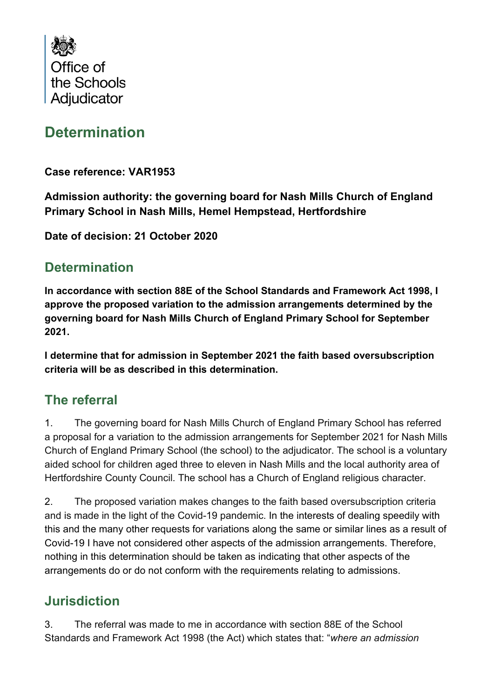

# **Determination**

**Case reference: VAR1953**

**Admission authority: the governing board for Nash Mills Church of England Primary School in Nash Mills, Hemel Hempstead, Hertfordshire**

**Date of decision: 21 October 2020**

### **Determination**

**In accordance with section 88E of the School Standards and Framework Act 1998, I approve the proposed variation to the admission arrangements determined by the governing board for Nash Mills Church of England Primary School for September 2021.**

**I determine that for admission in September 2021 the faith based oversubscription criteria will be as described in this determination.**

### **The referral**

1. The governing board for Nash Mills Church of England Primary School has referred a proposal for a variation to the admission arrangements for September 2021 for Nash Mills Church of England Primary School (the school) to the adjudicator. The school is a voluntary aided school for children aged three to eleven in Nash Mills and the local authority area of Hertfordshire County Council. The school has a Church of England religious character.

2. The proposed variation makes changes to the faith based oversubscription criteria and is made in the light of the Covid-19 pandemic. In the interests of dealing speedily with this and the many other requests for variations along the same or similar lines as a result of Covid-19 I have not considered other aspects of the admission arrangements. Therefore, nothing in this determination should be taken as indicating that other aspects of the arrangements do or do not conform with the requirements relating to admissions.

## **Jurisdiction**

3. The referral was made to me in accordance with section 88E of the School Standards and Framework Act 1998 (the Act) which states that: "*where an admission*